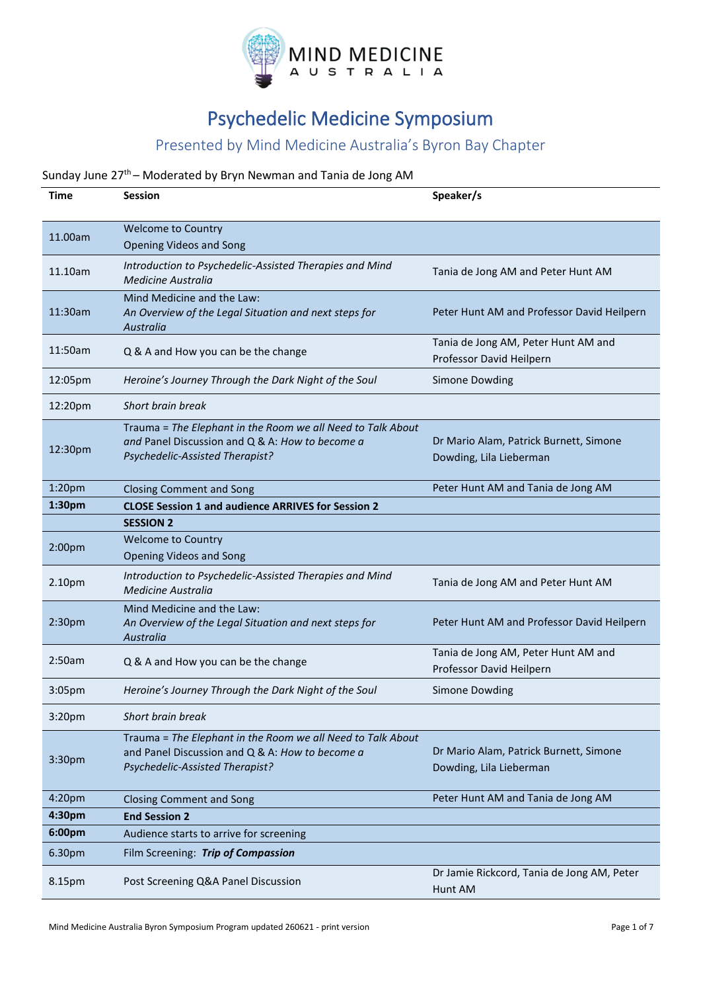

# Psychedelic Medicine Symposium

### Presented by Mind Medicine Australia's Byron Bay Chapter

### Sunday June 27<sup>th</sup> – Moderated by Bryn Newman and Tania de Jong AM

| Time               | Session                                                                                                                                           | Speaker/s                                                         |
|--------------------|---------------------------------------------------------------------------------------------------------------------------------------------------|-------------------------------------------------------------------|
| 11.00am            | <b>Welcome to Country</b><br><b>Opening Videos and Song</b>                                                                                       |                                                                   |
| 11.10am            | Introduction to Psychedelic-Assisted Therapies and Mind<br>Medicine Australia                                                                     | Tania de Jong AM and Peter Hunt AM                                |
| 11:30am            | Mind Medicine and the Law:<br>An Overview of the Legal Situation and next steps for<br>Australia                                                  | Peter Hunt AM and Professor David Heilpern                        |
| 11:50am            | Q & A and How you can be the change                                                                                                               | Tania de Jong AM, Peter Hunt AM and<br>Professor David Heilpern   |
| 12:05pm            | Heroine's Journey Through the Dark Night of the Soul                                                                                              | <b>Simone Dowding</b>                                             |
| 12:20pm            | Short brain break                                                                                                                                 |                                                                   |
| 12:30pm            | Trauma = The Elephant in the Room we all Need to Talk About<br>and Panel Discussion and Q & A: How to become a<br>Psychedelic-Assisted Therapist? | Dr Mario Alam, Patrick Burnett, Simone<br>Dowding, Lila Lieberman |
| 1:20pm             | <b>Closing Comment and Song</b>                                                                                                                   | Peter Hunt AM and Tania de Jong AM                                |
| 1:30pm             | <b>CLOSE Session 1 and audience ARRIVES for Session 2</b>                                                                                         |                                                                   |
|                    | <b>SESSION 2</b>                                                                                                                                  |                                                                   |
| 2:00 <sub>pm</sub> | <b>Welcome to Country</b><br><b>Opening Videos and Song</b>                                                                                       |                                                                   |
| 2.10pm             | Introduction to Psychedelic-Assisted Therapies and Mind<br><b>Medicine Australia</b>                                                              | Tania de Jong AM and Peter Hunt AM                                |
| 2:30pm             | Mind Medicine and the Law:<br>An Overview of the Legal Situation and next steps for<br>Australia                                                  | Peter Hunt AM and Professor David Heilpern                        |
| 2:50am             | Q & A and How you can be the change                                                                                                               | Tania de Jong AM, Peter Hunt AM and<br>Professor David Heilpern   |
| 3:05 <sub>pm</sub> | Heroine's Journey Through the Dark Night of the Soul                                                                                              | <b>Simone Dowding</b>                                             |
| 3:20pm             | Short brain break                                                                                                                                 |                                                                   |
| 3:30pm             | Trauma = The Elephant in the Room we all Need to Talk About<br>and Panel Discussion and Q & A: How to become a<br>Psychedelic-Assisted Therapist? | Dr Mario Alam, Patrick Burnett, Simone<br>Dowding, Lila Lieberman |
| 4:20pm             | <b>Closing Comment and Song</b>                                                                                                                   | Peter Hunt AM and Tania de Jong AM                                |
| 4:30pm             | <b>End Session 2</b>                                                                                                                              |                                                                   |
| 6:00pm             | Audience starts to arrive for screening                                                                                                           |                                                                   |
| 6.30pm             | Film Screening: Trip of Compassion                                                                                                                |                                                                   |
| 8.15pm             | Post Screening Q&A Panel Discussion                                                                                                               | Dr Jamie Rickcord, Tania de Jong AM, Peter<br>Hunt AM             |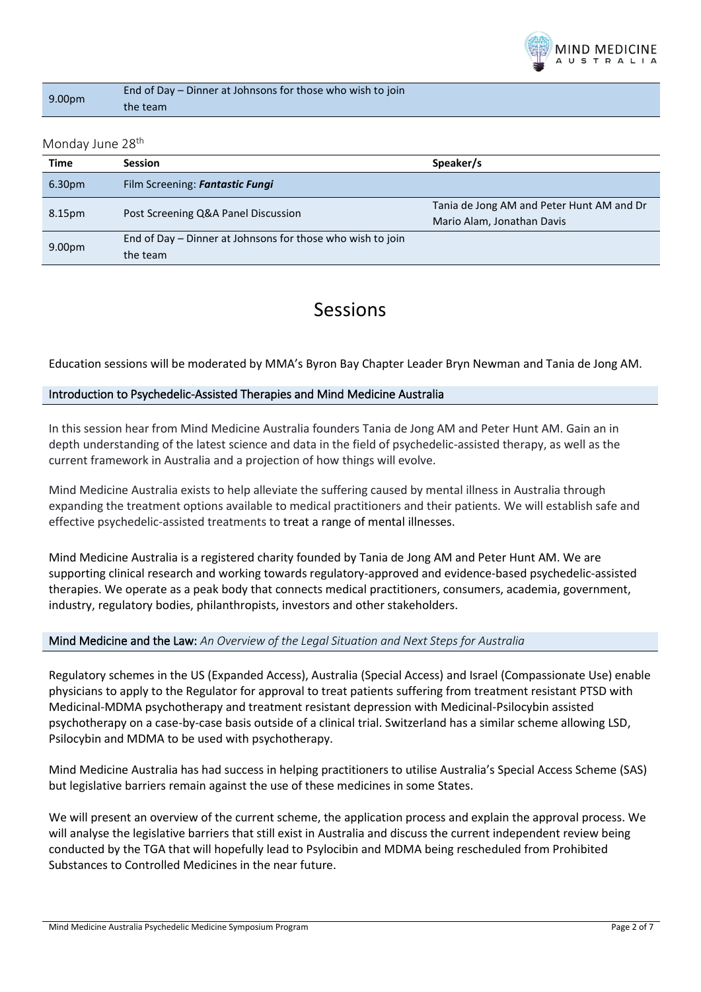

| 9.00pm | End of Day – Dinner at Johnsons for those who wish to join |
|--------|------------------------------------------------------------|
|        | the team                                                   |

#### Monday June 28<sup>th</sup>

| Time               | <b>Session</b>                                             | Speaker/s                                 |
|--------------------|------------------------------------------------------------|-------------------------------------------|
| 6.30 <sub>pm</sub> | Film Screening: Fantastic Fungi                            |                                           |
| 8.15pm             | Post Screening Q&A Panel Discussion                        | Tania de Jong AM and Peter Hunt AM and Dr |
|                    |                                                            | Mario Alam, Jonathan Davis                |
| 9.00 <sub>pm</sub> | End of Day - Dinner at Johnsons for those who wish to join |                                           |
|                    | the team                                                   |                                           |

### Sessions

Education sessions will be moderated by MMA's Byron Bay Chapter Leader Bryn Newman and Tania de Jong AM.

#### Introduction to Psychedelic-Assisted Therapies and Mind Medicine Australia

In this session hear from Mind Medicine Australia founders Tania de Jong AM and Peter Hunt AM. Gain an in depth understanding of the latest science and data in the field of psychedelic-assisted therapy, as well as the current framework in Australia and a projection of how things will evolve.

Mind Medicine Australia exists to help alleviate the suffering caused by mental illness in Australia through expanding the treatment options available to medical practitioners and their patients. We will establish safe and effective psychedelic-assisted treatments to treat a range of mental illnesses.

Mind Medicine Australia is a registered charity founded by Tania de Jong AM and Peter Hunt AM. We are supporting clinical research and working towards regulatory-approved and evidence-based psychedelic-assisted therapies. We operate as a peak body that connects medical practitioners, consumers, academia, government, industry, regulatory bodies, philanthropists, investors and other stakeholders.

#### Mind Medicine and the Law: *An Overview of the Legal Situation and Next Steps for Australia*

Regulatory schemes in the US (Expanded Access), Australia (Special Access) and Israel (Compassionate Use) enable physicians to apply to the Regulator for approval to treat patients suffering from treatment resistant PTSD with Medicinal-MDMA psychotherapy and treatment resistant depression with Medicinal-Psilocybin assisted psychotherapy on a case-by-case basis outside of a clinical trial. Switzerland has a similar scheme allowing LSD, Psilocybin and MDMA to be used with psychotherapy.

Mind Medicine Australia has had success in helping practitioners to utilise Australia's Special Access Scheme (SAS) but legislative barriers remain against the use of these medicines in some States.

We will present an overview of the current scheme, the application process and explain the approval process. We will analyse the legislative barriers that still exist in Australia and discuss the current independent review being conducted by the TGA that will hopefully lead to Psylocibin and MDMA being rescheduled from Prohibited Substances to Controlled Medicines in the near future.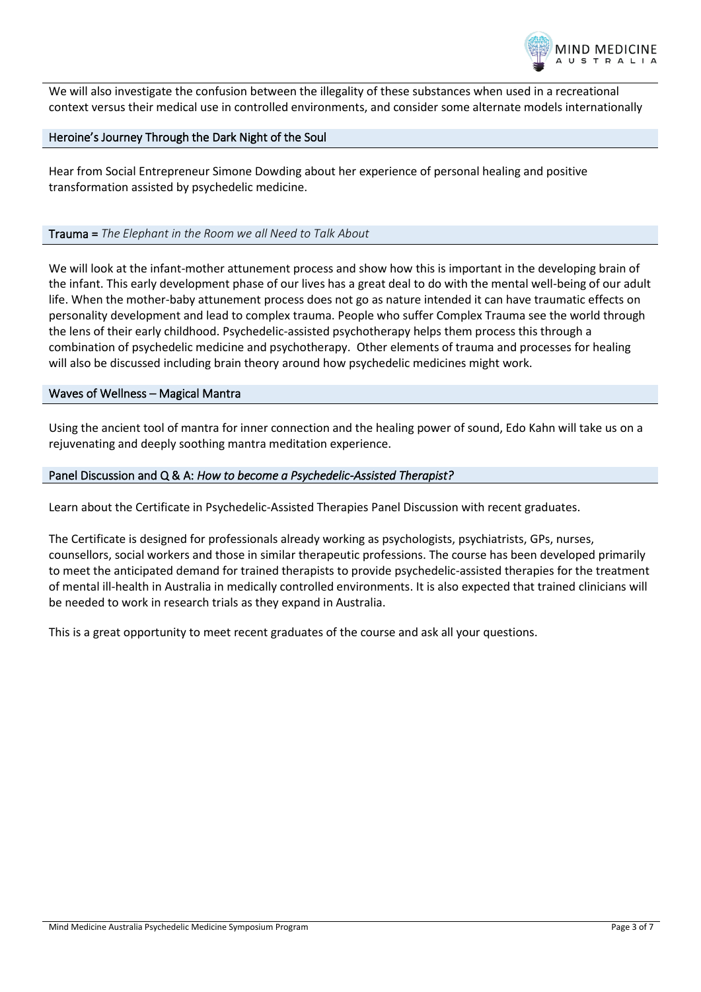

We will also investigate the confusion between the illegality of these substances when used in a recreational context versus their medical use in controlled environments, and consider some alternate models internationally

#### Heroine's Journey Through the Dark Night of the Soul

Hear from Social Entrepreneur Simone Dowding about her experience of personal healing and positive transformation assisted by psychedelic medicine.

#### Trauma = *The Elephant in the Room we all Need to Talk About*

We will look at the infant-mother attunement process and show how this is important in the developing brain of the infant. This early development phase of our lives has a great deal to do with the mental well-being of our adult life. When the mother-baby attunement process does not go as nature intended it can have traumatic effects on personality development and lead to complex trauma. People who suffer Complex Trauma see the world through the lens of their early childhood. Psychedelic-assisted psychotherapy helps them process this through a combination of psychedelic medicine and psychotherapy. Other elements of trauma and processes for healing will also be discussed including brain theory around how psychedelic medicines might work.

#### Waves of Wellness – Magical Mantra

Using the ancient tool of mantra for inner connection and the healing power of sound, Edo Kahn will take us on a rejuvenating and deeply soothing mantra meditation experience.

#### Panel Discussion and Q & A: *How to become a Psychedelic-Assisted Therapist?*

Learn about the Certificate in Psychedelic-Assisted Therapies Panel Discussion with recent graduates.

The Certificate is designed for professionals already working as psychologists, psychiatrists, GPs, nurses, counsellors, social workers and those in similar therapeutic professions. The course has been developed primarily to meet the anticipated demand for trained therapists to provide psychedelic-assisted therapies for the treatment of mental ill-health in Australia in medically controlled environments. It is also expected that trained clinicians will be needed to work in research trials as they expand in Australia.

This is a great opportunity to meet recent graduates of the course and ask all your questions.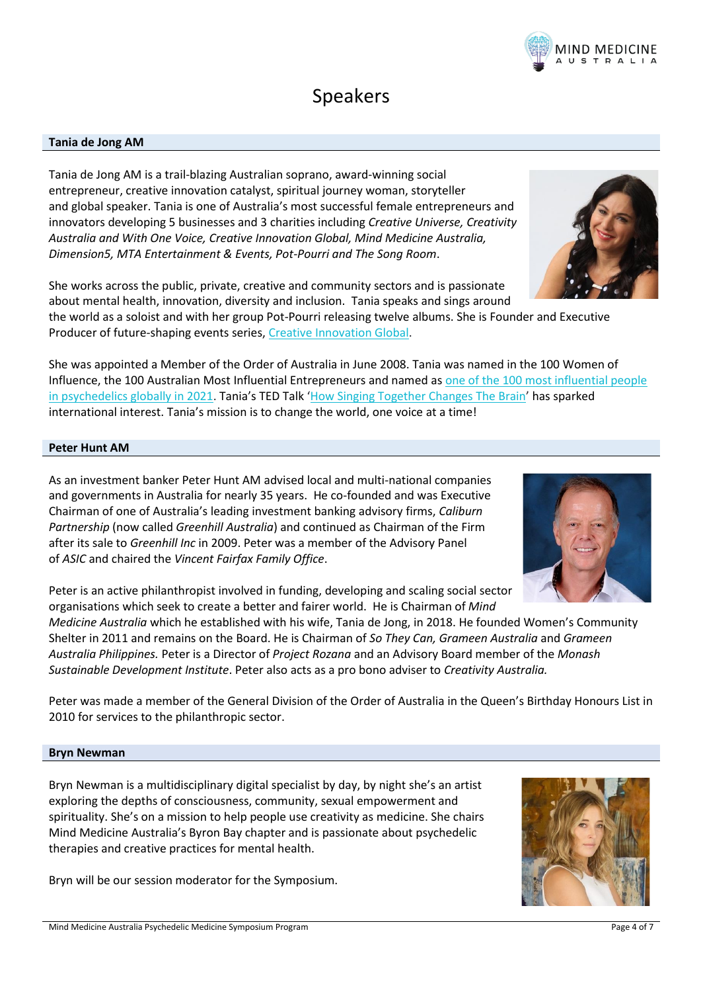## Speakers

#### **Tania de Jong AM**

Tania de Jong AM is a trail-blazing Australian soprano, award-winning social entrepreneur, creative innovation catalyst, spiritual journey woman, storyteller and global speaker. Tania is one of Australia's most successful female entrepreneurs and innovators developing 5 businesses and 3 charities including *Creative Universe, Creativity Australia and With One Voice, Creative Innovation Global, Mind Medicine Australia, Dimension5, MTA Entertainment & Events, Pot-Pourri and The Song Room*.

She works across the public, private, creative and community sectors and is passionate about mental health, innovation, diversity and inclusion. Tania speaks and sings around

the world as a soloist and with her group Pot-Pourri releasing twelve albums. She is Founder and Executive Producer of future-shaping events series, [Creative Innovation Global.](http://www.creativeinnovationglobal.com.au/)

She was appointed a Member of the Order of Australia in June 2008. Tania was named in the 100 Women of Influence, the 100 Australian Most Influential Entrepreneurs and named as [one of the 100 most influential people](https://psychedelicinvest.com/most-influential-people-psychedelics-2021/)  [in psychedelics globally in 2021.](https://psychedelicinvest.com/most-influential-people-psychedelics-2021/) Tania's TED Talk '[How Singing Together Changes The Brain](https://www.youtube.com/watch?v=I_HOBr8H9EM)' has sparked international interest. Tania's mission is to change the world, one voice at a time!

#### **Peter Hunt AM**

As an investment banker Peter Hunt AM advised local and multi-national companies and governments in Australia for nearly 35 years. He co-founded and was Executive Chairman of one of Australia's leading investment banking advisory firms, *Caliburn Partnership* (now called *Greenhill Australia*) and continued as Chairman of the Firm after its sale to *Greenhill Inc* in 2009. Peter was a member of the Advisory Panel of *ASIC* and chaired the *Vincent Fairfax Family Office*.

Peter is an active philanthropist involved in funding, developing and scaling social sector organisations which seek to create a better and fairer world. He is Chairman of *Mind* 

*Medicine Australia* which he established with his wife, Tania de Jong, in 2018. He founded Women's Community Shelter in 2011 and remains on the Board. He is Chairman of *So They Can, Grameen Australia* and *Grameen Australia Philippines.* Peter is a Director of *Project Rozana* and an Advisory Board member of the *Monash Sustainable Development Institute*. Peter also acts as a pro bono adviser to *Creativity Australia.*

Peter was made a member of the General Division of the Order of Australia in the Queen's Birthday Honours List in 2010 for services to the philanthropic sector.

#### **Bryn Newman**

Bryn Newman is a multidisciplinary digital specialist by day, by night she's an artist exploring the depths of consciousness, community, sexual empowerment and spirituality. She's on a mission to help people use creativity as medicine. She chairs Mind Medicine Australia's Byron Bay chapter and is passionate about psychedelic therapies and creative practices for mental health.

Bryn will be our session moderator for the Symposium.







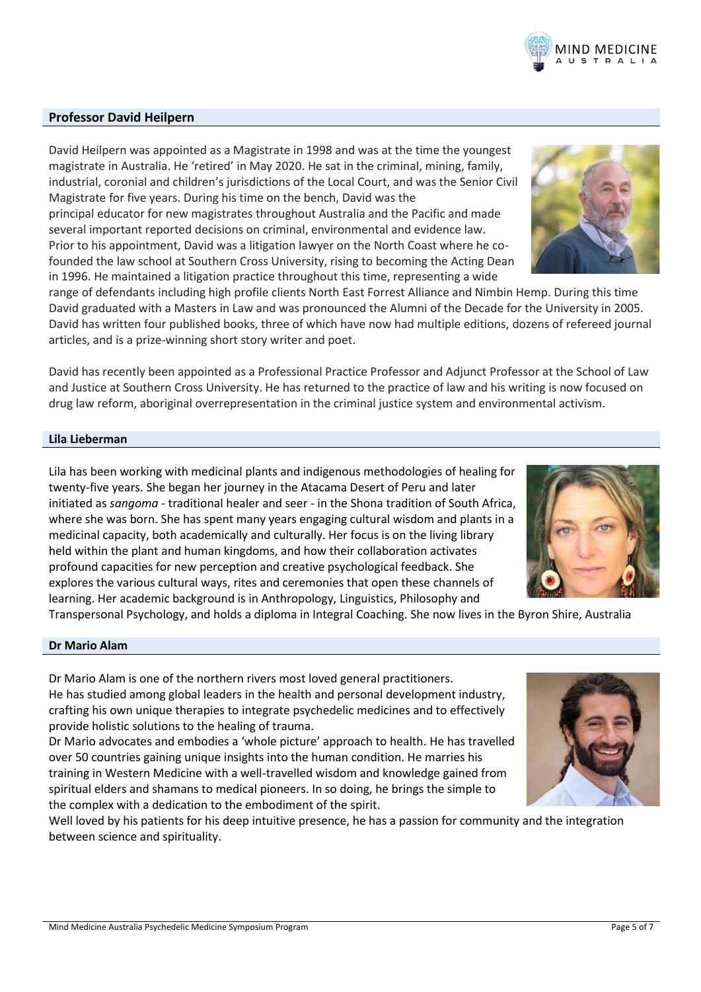### **Professor David Heilpern**

David Heilpern was appointed as a Magistrate in 1998 and was at the time the youngest magistrate in Australia. He 'retired' in May 2020. He sat in the criminal, mining, family, industrial, coronial and children's jurisdictions of the Local Court, and was the Senior Civil Magistrate for five years. During his time on the bench, David was the principal educator for new magistrates throughout Australia and the Pacific and made several important reported decisions on criminal, environmental and evidence law. Prior to his appointment, David was a litigation lawyer on the North Coast where he cofounded the law school at Southern Cross University, rising to becoming the Acting Dean in 1996. He maintained a litigation practice throughout this time, representing a wide

range of defendants including high profile clients North East Forrest Alliance and Nimbin Hemp. During this time David graduated with a Masters in Law and was pronounced the Alumni of the Decade for the University in 2005. David has written four published books, three of which have now had multiple editions, dozens of refereed journal articles, and is a prize-winning short story writer and poet.

David has recently been appointed as a Professional Practice Professor and Adjunct Professor at the School of Law and Justice at Southern Cross University. He has returned to the practice of law and his writing is now focused on drug law reform, aboriginal overrepresentation in the criminal justice system and environmental activism.

#### **Lila Lieberman**

Lila has been working with medicinal plants and indigenous methodologies of healing for twenty-five years. She began her journey in the Atacama Desert of Peru and later initiated as *sangoma* - traditional healer and seer - in the Shona tradition of South Africa, where she was born. She has spent many years engaging cultural wisdom and plants in a medicinal capacity, both academically and culturally. Her focus is on the living library held within the plant and human kingdoms, and how their collaboration activates profound capacities for new perception and creative psychological feedback. She explores the various cultural ways, rites and ceremonies that open these channels of learning. Her academic background is in Anthropology, Linguistics, Philosophy and

Transpersonal Psychology, and holds a diploma in Integral Coaching. She now lives in the Byron Shire, Australia

#### **Dr Mario Alam**

Dr Mario Alam is one of the northern rivers most loved general practitioners. He has studied among global leaders in the health and personal development industry, crafting his own unique therapies to integrate psychedelic medicines and to effectively provide holistic solutions to the healing of trauma.

Dr Mario advocates and embodies a 'whole picture' approach to health. He has travelled over 50 countries gaining unique insights into the human condition. He marries his training in Western Medicine with a well-travelled wisdom and knowledge gained from spiritual elders and shamans to medical pioneers. In so doing, he brings the simple to the complex with a dedication to the embodiment of the spirit.

Well loved by his patients for his deep intuitive presence, he has a passion for community and the integration between science and spirituality.







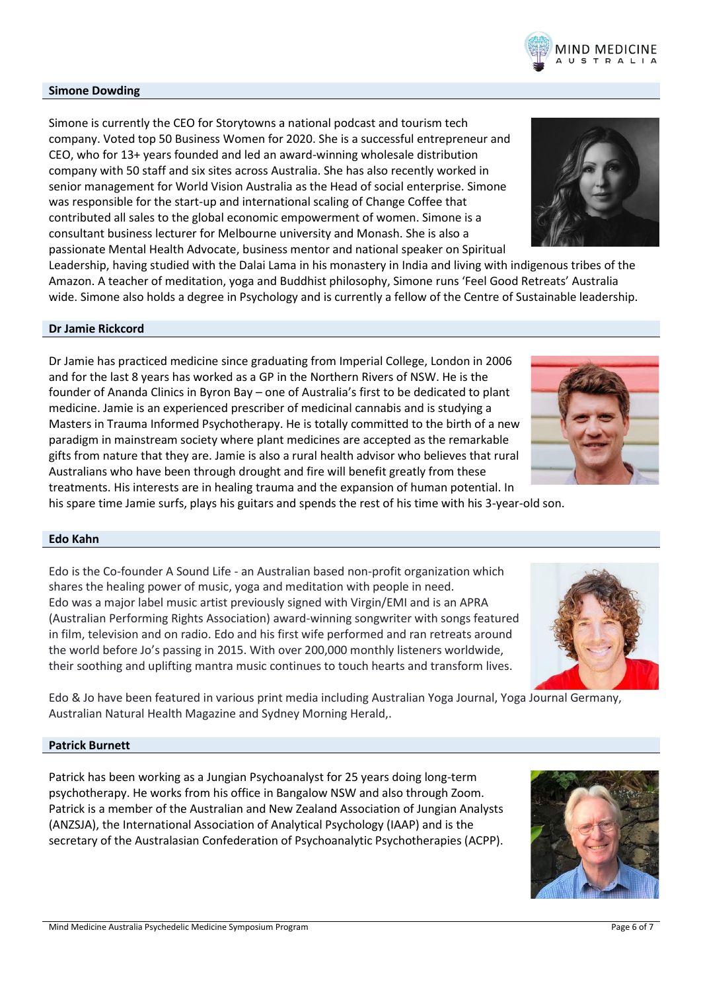#### **Simone Dowding**

Simone is currently the CEO for Storytowns a national podcast and tourism tech company. Voted top 50 Business Women for 2020. She is a successful entrepreneur and CEO, who for 13+ years founded and led an award-winning wholesale distribution company with 50 staff and six sites across Australia. She has also recently worked in senior management for World Vision Australia as the Head of social enterprise. Simone was responsible for the start-up and international scaling of Change Coffee that contributed all sales to the global economic empowerment of women. Simone is a consultant business lecturer for Melbourne university and Monash. She is also a passionate Mental Health Advocate, business mentor and national speaker on Spiritual

Leadership, having studied with the Dalai Lama in his monastery in India and living with indigenous tribes of the Amazon. A teacher of meditation, yoga and Buddhist philosophy, Simone runs 'Feel Good Retreats' Australia wide. Simone also holds a degree in Psychology and is currently a fellow of the Centre of Sustainable leadership.

#### **Dr Jamie Rickcord**

Dr Jamie has practiced medicine since graduating from Imperial College, London in 2006 and for the last 8 years has worked as a GP in the Northern Rivers of NSW. He is the founder of Ananda Clinics in Byron Bay – one of Australia's first to be dedicated to plant medicine. Jamie is an experienced prescriber of medicinal cannabis and is studying a Masters in Trauma Informed Psychotherapy. He is totally committed to the birth of a new paradigm in mainstream society where plant medicines are accepted as the remarkable gifts from nature that they are. Jamie is also a rural health advisor who believes that rural Australians who have been through drought and fire will benefit greatly from these treatments. His interests are in healing trauma and the expansion of human potential. In

#### his spare time Jamie surfs, plays his guitars and spends the rest of his time with his 3-year-old son.

#### **Edo Kahn**

Edo is the Co-founder A Sound Life - an Australian based non-profit organization which shares the healing power of music, yoga and meditation with people in need. Edo was a major label music artist previously signed with Virgin/EMI and is an APRA (Australian Performing Rights Association) award-winning songwriter with songs featured in film, television and on radio. Edo and his first wife performed and ran retreats around the world before Jo's passing in 2015. With over 200,000 monthly listeners worldwide,

Edo & Jo have been featured in various print media including Australian Yoga Journal, Yoga Journal Germany, Australian Natural Health Magazine and Sydney Morning Herald,.

#### **Patrick Burnett**

Patrick has been working as a Jungian Psychoanalyst for 25 years doing long-term psychotherapy. He works from his office in Bangalow NSW and also through Zoom. Patrick is a member of the Australian and New Zealand Association of Jungian Analysts (ANZSJA), the International Association of Analytical Psychology (IAAP) and is the secretary of the Australasian Confederation of Psychoanalytic Psychotherapies (ACPP).

their soothing and uplifting mantra music continues to touch hearts and transform lives.